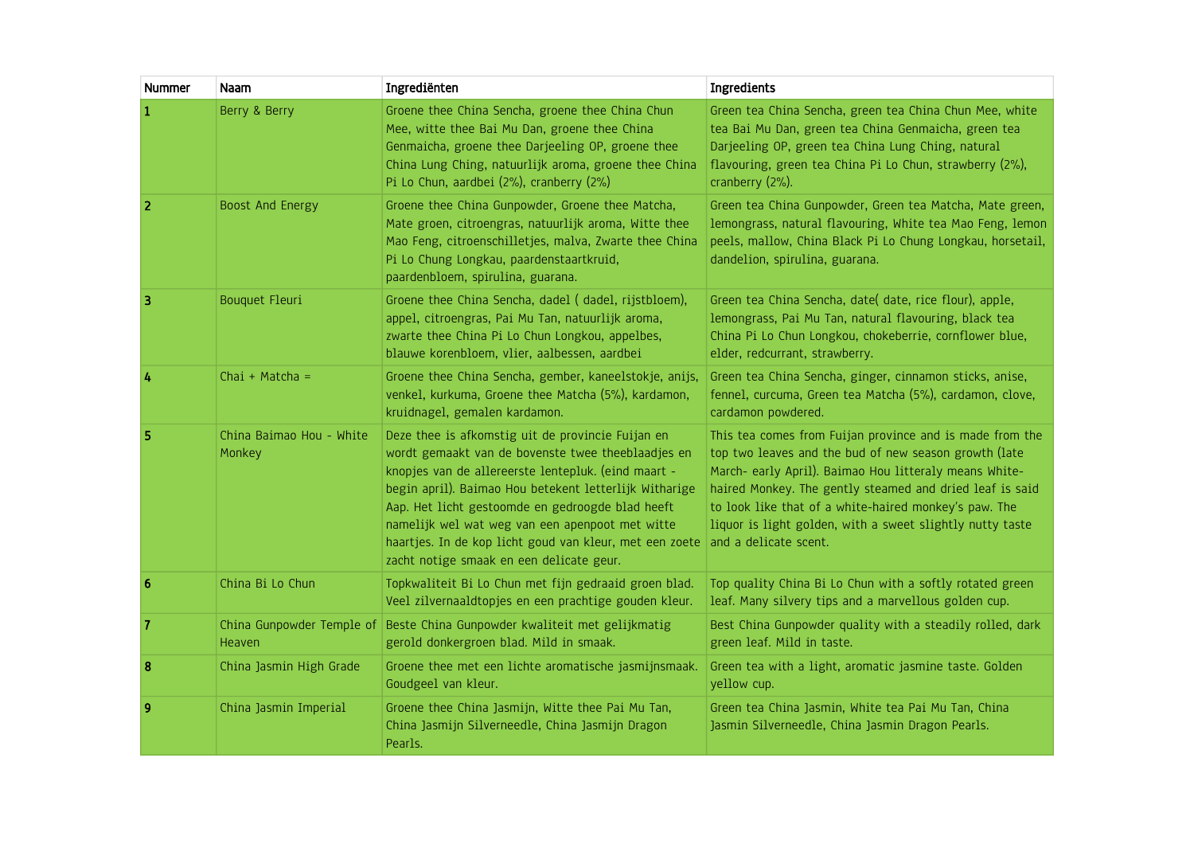| <b>Nummer</b> | Naam                                       | Ingrediënten                                                                                                                                                                                                                                                                                                                                                                                                                           | Ingredients                                                                                                                                                                                                                                                                                                                                                                            |
|---------------|--------------------------------------------|----------------------------------------------------------------------------------------------------------------------------------------------------------------------------------------------------------------------------------------------------------------------------------------------------------------------------------------------------------------------------------------------------------------------------------------|----------------------------------------------------------------------------------------------------------------------------------------------------------------------------------------------------------------------------------------------------------------------------------------------------------------------------------------------------------------------------------------|
| 1             | Berry & Berry                              | Groene thee China Sencha, groene thee China Chun<br>Mee, witte thee Bai Mu Dan, groene thee China<br>Genmaicha, groene thee Darjeeling OP, groene thee<br>China Lung Ching, natuurlijk aroma, groene thee China<br>Pi Lo Chun, aardbei (2%), cranberry (2%)                                                                                                                                                                            | Green tea China Sencha, green tea China Chun Mee, white<br>tea Bai Mu Dan, green tea China Genmaicha, green tea<br>Darjeeling OP, green tea China Lung Ching, natural<br>flavouring, green tea China Pi Lo Chun, strawberry (2%),<br>cranberry (2%).                                                                                                                                   |
| 2             | Boost And Energy                           | Groene thee China Gunpowder, Groene thee Matcha,<br>Mate groen, citroengras, natuurlijk aroma, Witte thee<br>Mao Feng, citroenschilletjes, malva, Zwarte thee China<br>Pi Lo Chung Longkau, paardenstaartkruid,<br>paardenbloem, spirulina, guarana.                                                                                                                                                                                   | Green tea China Gunpowder, Green tea Matcha, Mate green,<br>lemongrass, natural flavouring, White tea Mao Feng, lemon<br>peels, mallow, China Black Pi Lo Chung Longkau, horsetail,<br>dandelion, spirulina, guarana.                                                                                                                                                                  |
| 3             | <b>Bouquet Fleuri</b>                      | Groene thee China Sencha, dadel (dadel, rijstbloem),<br>appel, citroengras, Pai Mu Tan, natuurlijk aroma,<br>zwarte thee China Pi Lo Chun Longkou, appelbes,<br>blauwe korenbloem, vlier, aalbessen, aardbei                                                                                                                                                                                                                           | Green tea China Sencha, date( date, rice flour), apple,<br>lemongrass, Pai Mu Tan, natural flavouring, black tea<br>China Pi Lo Chun Longkou, chokeberrie, cornflower blue,<br>elder, redcurrant, strawberry.                                                                                                                                                                          |
| 4             | Chai + Matcha =                            | Groene thee China Sencha, gember, kaneelstokje, anijs,<br>venkel, kurkuma, Groene thee Matcha (5%), kardamon,<br>kruidnagel, gemalen kardamon.                                                                                                                                                                                                                                                                                         | Green tea China Sencha, ginger, cinnamon sticks, anise,<br>fennel, curcuma, Green tea Matcha (5%), cardamon, clove,<br>cardamon powdered.                                                                                                                                                                                                                                              |
| 5             | China Baimao Hou - White<br>Monkey         | Deze thee is afkomstig uit de provincie Fuijan en<br>wordt gemaakt van de bovenste twee theeblaadjes en<br>knopjes van de allereerste lentepluk. (eind maart -<br>begin april). Baimao Hou betekent letterlijk Witharige<br>Aap. Het licht gestoomde en gedroogde blad heeft<br>namelijk wel wat weg van een apenpoot met witte<br>haartjes. In de kop licht goud van kleur, met een zoete<br>zacht notige smaak en een delicate geur. | This tea comes from Fuijan province and is made from the<br>top two leaves and the bud of new season growth (late<br>March- early April). Baimao Hou litteraly means White-<br>haired Monkey. The gently steamed and dried leaf is said<br>to look like that of a white-haired monkey's paw. The<br>liquor is light golden, with a sweet slightly nutty taste<br>and a delicate scent. |
| 6             | China Bi Lo Chun                           | Topkwaliteit Bi Lo Chun met fijn gedraaid groen blad.<br>Veel zilvernaaldtopjes en een prachtige gouden kleur.                                                                                                                                                                                                                                                                                                                         | Top quality China Bi Lo Chun with a softly rotated green<br>leaf. Many silvery tips and a marvellous golden cup.                                                                                                                                                                                                                                                                       |
| 7             | China Gunpowder Temple of<br><b>Heaven</b> | Beste China Gunpowder kwaliteit met gelijkmatig<br>gerold donkergroen blad. Mild in smaak.                                                                                                                                                                                                                                                                                                                                             | Best China Gunpowder quality with a steadily rolled, dark<br>green leaf. Mild in taste.                                                                                                                                                                                                                                                                                                |
| 8             | China Jasmin High Grade                    | Groene thee met een lichte aromatische jasmijnsmaak.<br>Goudgeel van kleur.                                                                                                                                                                                                                                                                                                                                                            | Green tea with a light, aromatic jasmine taste. Golden<br>yellow cup.                                                                                                                                                                                                                                                                                                                  |
| 9             | China Jasmin Imperial                      | Groene thee China Jasmijn, Witte thee Pai Mu Tan,<br>China Jasmijn Silverneedle, China Jasmijn Dragon<br>Pearls.                                                                                                                                                                                                                                                                                                                       | Green tea China Jasmin, White tea Pai Mu Tan, China<br>Jasmin Silverneedle, China Jasmin Dragon Pearls.                                                                                                                                                                                                                                                                                |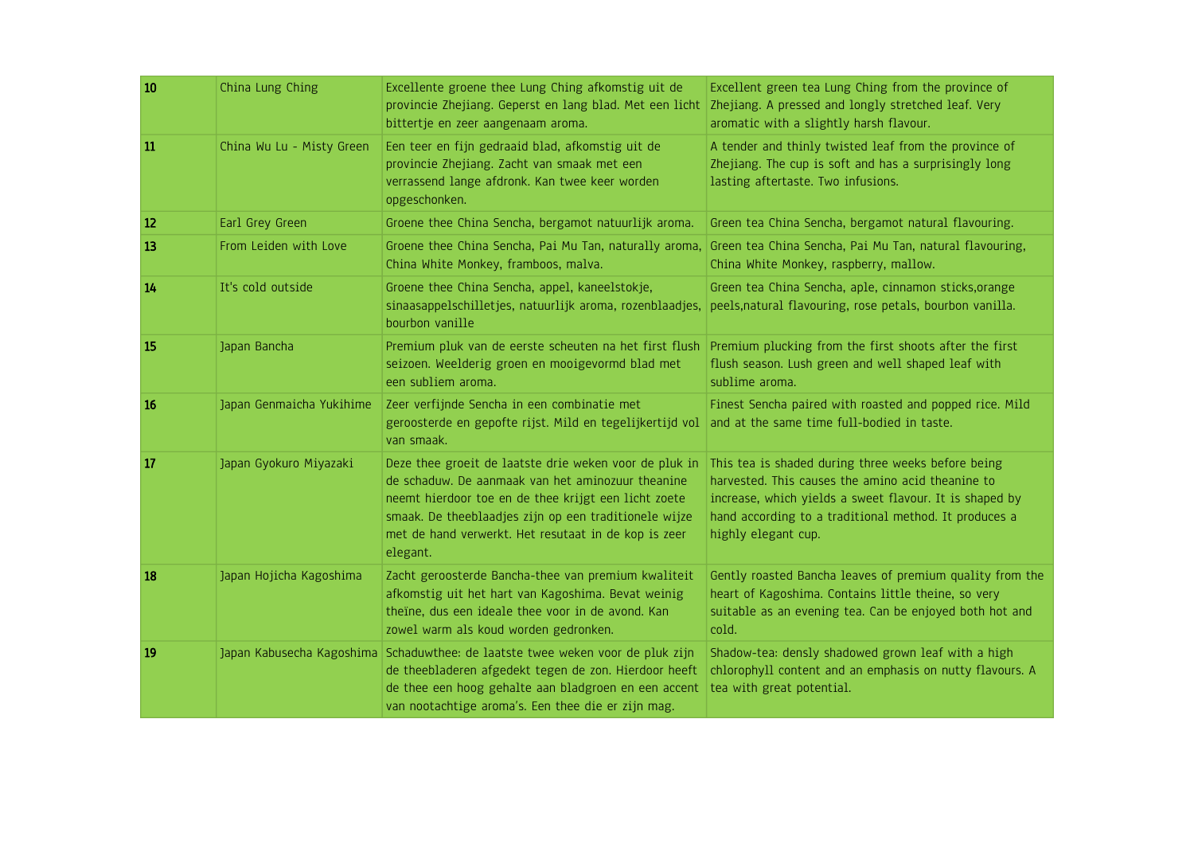| 10            | China Lung Ching          | Excellente groene thee Lung Ching afkomstig uit de<br>provincie Zhejiang. Geperst en lang blad. Met een licht                                                                                                                                                                                    | Excellent green tea Lung Ching from the province of<br>Zhejiang. A pressed and longly stretched leaf. Very                                                                                                                                         |
|---------------|---------------------------|--------------------------------------------------------------------------------------------------------------------------------------------------------------------------------------------------------------------------------------------------------------------------------------------------|----------------------------------------------------------------------------------------------------------------------------------------------------------------------------------------------------------------------------------------------------|
|               |                           | bittertje en zeer aangenaam aroma.                                                                                                                                                                                                                                                               | aromatic with a slightly harsh flavour.                                                                                                                                                                                                            |
| 11            | China Wu Lu - Misty Green | Een teer en fijn gedraaid blad, afkomstig uit de<br>provincie Zhejiang. Zacht van smaak met een<br>verrassend lange afdronk. Kan twee keer worden<br>opgeschonken.                                                                                                                               | A tender and thinly twisted leaf from the province of<br>Zhejiang. The cup is soft and has a surprisingly long<br>lasting aftertaste. Two infusions.                                                                                               |
| <sup>12</sup> | Earl Grey Green           | Groene thee China Sencha, bergamot natuurlijk aroma.                                                                                                                                                                                                                                             | Green tea China Sencha, bergamot natural flavouring.                                                                                                                                                                                               |
| 13            | From Leiden with Love     | Groene thee China Sencha, Pai Mu Tan, naturally aroma,<br>China White Monkey, framboos, malva.                                                                                                                                                                                                   | Green tea China Sencha, Pai Mu Tan, natural flavouring,<br>China White Monkey, raspberry, mallow.                                                                                                                                                  |
| 14            | It's cold outside         | Groene thee China Sencha, appel, kaneelstokje,<br>sinaasappelschilletjes, natuurlijk aroma, rozenblaadjes,<br>bourbon vanille                                                                                                                                                                    | Green tea China Sencha, aple, cinnamon sticks, orange<br>peels, natural flavouring, rose petals, bourbon vanilla.                                                                                                                                  |
| 15            | Japan Bancha              | Premium pluk van de eerste scheuten na het first flush<br>seizoen. Weelderig groen en mooigevormd blad met<br>een subliem aroma.                                                                                                                                                                 | Premium plucking from the first shoots after the first<br>flush season. Lush green and well shaped leaf with<br>sublime aroma.                                                                                                                     |
| <b>16</b>     | Japan Genmaicha Yukihime  | Zeer verfijnde Sencha in een combinatie met<br>geroosterde en gepofte rijst. Mild en tegelijkertijd vol<br>van smaak.                                                                                                                                                                            | Finest Sencha paired with roasted and popped rice. Mild<br>and at the same time full-bodied in taste.                                                                                                                                              |
| 17            | Japan Gyokuro Miyazaki    | Deze thee groeit de laatste drie weken voor de pluk in<br>de schaduw. De aanmaak van het aminozuur theanine<br>neemt hierdoor toe en de thee krijgt een licht zoete<br>smaak. De theeblaadjes zijn op een traditionele wijze<br>met de hand verwerkt. Het resutaat in de kop is zeer<br>elegant. | This tea is shaded during three weeks before being<br>harvested. This causes the amino acid theanine to<br>increase, which yields a sweet flavour. It is shaped by<br>hand according to a traditional method. It produces a<br>highly elegant cup. |
| <b>18</b>     | Japan Hojicha Kagoshima   | Zacht geroosterde Bancha-thee van premium kwaliteit<br>afkomstig uit het hart van Kagoshima. Bevat weinig<br>theïne, dus een ideale thee voor in de avond. Kan<br>zowel warm als koud worden gedronken.                                                                                          | Gently roasted Bancha leaves of premium quality from the<br>heart of Kagoshima. Contains little theine, so very<br>suitable as an evening tea. Can be enjoyed both hot and<br>cold.                                                                |
| 19            |                           | Japan Kabusecha Kagoshima Schaduwthee: de laatste twee weken voor de pluk zijn<br>de theebladeren afgedekt tegen de zon. Hierdoor heeft<br>de thee een hoog gehalte aan bladgroen en een accent<br>van nootachtige aroma's. Een thee die er zijn mag.                                            | Shadow-tea: densly shadowed grown leaf with a high<br>chlorophyll content and an emphasis on nutty flavours. A<br>tea with great potential.                                                                                                        |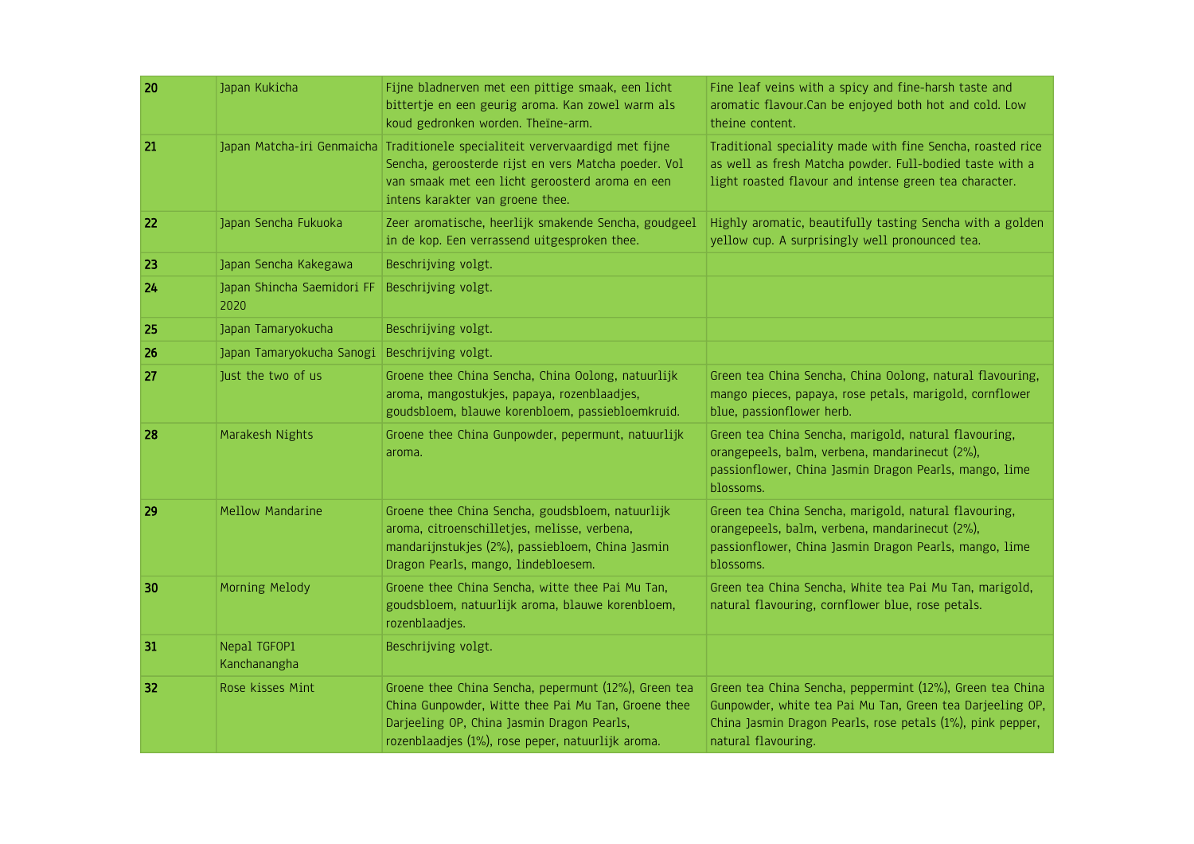| 20 | Japan Kukicha                      | Fijne bladnerven met een pittige smaak, een licht<br>bittertje en een geurig aroma. Kan zowel warm als<br>koud gedronken worden. Theïne-arm.                                                                                 | Fine leaf veins with a spicy and fine-harsh taste and<br>aromatic flavour. Can be enjoyed both hot and cold. Low<br>theine content.                                                                         |
|----|------------------------------------|------------------------------------------------------------------------------------------------------------------------------------------------------------------------------------------------------------------------------|-------------------------------------------------------------------------------------------------------------------------------------------------------------------------------------------------------------|
| 21 |                                    | Japan Matcha-iri Genmaicha Traditionele specialiteit ververvaardigd met fijne<br>Sencha, geroosterde rijst en vers Matcha poeder. Vol<br>van smaak met een licht geroosterd aroma en een<br>intens karakter van groene thee. | Traditional speciality made with fine Sencha, roasted rice<br>as well as fresh Matcha powder. Full-bodied taste with a<br>light roasted flavour and intense green tea character.                            |
| 22 | Japan Sencha Fukuoka               | Zeer aromatische, heerlijk smakende Sencha, goudgeel<br>in de kop. Een verrassend uitgesproken thee.                                                                                                                         | Highly aromatic, beautifully tasting Sencha with a golden<br>yellow cup. A surprisingly well pronounced tea.                                                                                                |
| 23 | Japan Sencha Kakegawa              | Beschrijving volgt.                                                                                                                                                                                                          |                                                                                                                                                                                                             |
| 24 | Japan Shincha Saemidori FF<br>2020 | Beschrijving volgt.                                                                                                                                                                                                          |                                                                                                                                                                                                             |
| 25 | Japan Tamaryokucha                 | Beschrijving volgt.                                                                                                                                                                                                          |                                                                                                                                                                                                             |
| 26 | Japan Tamaryokucha Sanogi          | Beschrijving volgt.                                                                                                                                                                                                          |                                                                                                                                                                                                             |
| 27 | Just the two of us                 | Groene thee China Sencha, China Oolong, natuurlijk<br>aroma, mangostukjes, papaya, rozenblaadjes,<br>goudsbloem, blauwe korenbloem, passiebloemkruid.                                                                        | Green tea China Sencha, China Oolong, natural flavouring,<br>mango pieces, papaya, rose petals, marigold, cornflower<br>blue, passionflower herb.                                                           |
| 28 | Marakesh Nights                    | Groene thee China Gunpowder, pepermunt, natuurlijk<br>aroma.                                                                                                                                                                 | Green tea China Sencha, marigold, natural flavouring,<br>orangepeels, balm, verbena, mandarinecut (2%),<br>passionflower, China Jasmin Dragon Pearls, mango, lime<br>blossoms.                              |
| 29 | <b>Mellow Mandarine</b>            | Groene thee China Sencha, goudsbloem, natuurlijk<br>aroma, citroenschilletjes, melisse, verbena,<br>mandarijnstukjes (2%), passiebloem, China Jasmin<br>Dragon Pearls, mango, lindebloesem.                                  | Green tea China Sencha, marigold, natural flavouring,<br>orangepeels, balm, verbena, mandarinecut (2%),<br>passionflower, China Jasmin Dragon Pearls, mango, lime<br>blossoms.                              |
| 30 | Morning Melody                     | Groene thee China Sencha, witte thee Pai Mu Tan,<br>goudsbloem, natuurlijk aroma, blauwe korenbloem,<br>rozenblaadjes.                                                                                                       | Green tea China Sencha, White tea Pai Mu Tan, marigold,<br>natural flavouring, cornflower blue, rose petals.                                                                                                |
| 31 | Nepal TGFOP1<br>Kanchanangha       | Beschrijving volgt.                                                                                                                                                                                                          |                                                                                                                                                                                                             |
| 32 | Rose kisses Mint                   | Groene thee China Sencha, pepermunt (12%), Green tea<br>China Gunpowder, Witte thee Pai Mu Tan, Groene thee<br>Darjeeling OP, China Jasmin Dragon Pearls,<br>rozenblaadjes (1%), rose peper, natuurlijk aroma.               | Green tea China Sencha, peppermint (12%), Green tea China<br>Gunpowder, white tea Pai Mu Tan, Green tea Darjeeling OP,<br>China Jasmin Dragon Pearls, rose petals (1%), pink pepper,<br>natural flavouring. |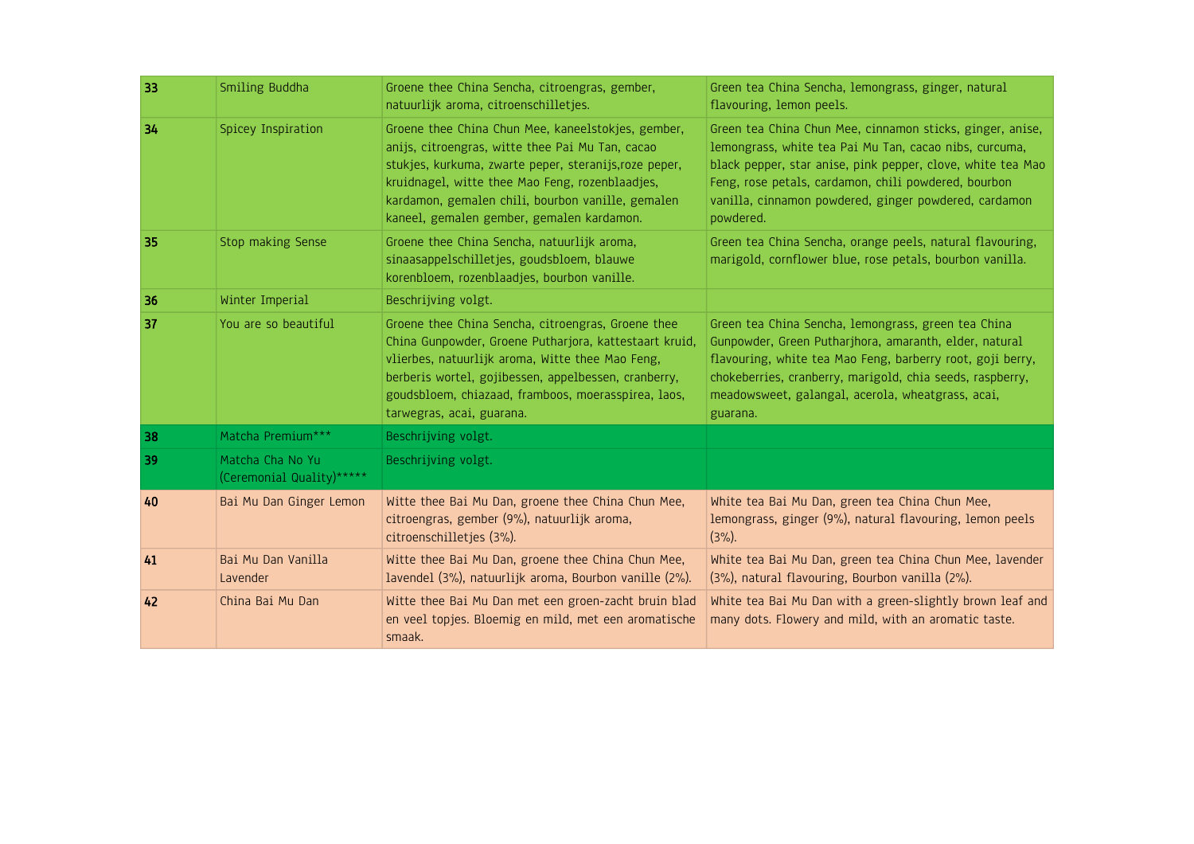| 33 | Smiling Buddha                                 | Groene thee China Sencha, citroengras, gember,<br>natuurlijk aroma, citroenschilletjes.                                                                                                                                                                                                                               | Green tea China Sencha, lemongrass, ginger, natural<br>flavouring, lemon peels.                                                                                                                                                                                                                                  |
|----|------------------------------------------------|-----------------------------------------------------------------------------------------------------------------------------------------------------------------------------------------------------------------------------------------------------------------------------------------------------------------------|------------------------------------------------------------------------------------------------------------------------------------------------------------------------------------------------------------------------------------------------------------------------------------------------------------------|
| 34 | Spicey Inspiration                             | Groene thee China Chun Mee, kaneelstokjes, gember,<br>anijs, citroengras, witte thee Pai Mu Tan, cacao<br>stukjes, kurkuma, zwarte peper, steranijs, roze peper,<br>kruidnagel, witte thee Mao Feng, rozenblaadjes,<br>kardamon, gemalen chili, bourbon vanille, gemalen<br>kaneel, gemalen gember, gemalen kardamon. | Green tea China Chun Mee, cinnamon sticks, ginger, anise,<br>lemongrass, white tea Pai Mu Tan, cacao nibs, curcuma,<br>black pepper, star anise, pink pepper, clove, white tea Mao<br>Feng, rose petals, cardamon, chili powdered, bourbon<br>vanilla, cinnamon powdered, ginger powdered, cardamon<br>powdered. |
| 35 | Stop making Sense                              | Groene thee China Sencha, natuurlijk aroma,<br>sinaasappelschilletjes, goudsbloem, blauwe<br>korenbloem, rozenblaadjes, bourbon vanille.                                                                                                                                                                              | Green tea China Sencha, orange peels, natural flavouring,<br>marigold, cornflower blue, rose petals, bourbon vanilla.                                                                                                                                                                                            |
| 36 | Winter Imperial                                | Beschrijving volgt.                                                                                                                                                                                                                                                                                                   |                                                                                                                                                                                                                                                                                                                  |
| 37 | You are so beautiful                           | Groene thee China Sencha, citroengras, Groene thee<br>China Gunpowder, Groene Putharjora, kattestaart kruid,<br>vlierbes, natuurlijk aroma, Witte thee Mao Feng,<br>berberis wortel, gojibessen, appelbessen, cranberry,<br>goudsbloem, chiazaad, framboos, moerasspirea, laos,<br>tarwegras, acai, guarana.          | Green tea China Sencha, lemongrass, green tea China<br>Gunpowder, Green Putharjhora, amaranth, elder, natural<br>flavouring, white tea Mao Feng, barberry root, goji berry,<br>chokeberries, cranberry, marigold, chia seeds, raspberry,<br>meadowsweet, galangal, acerola, wheatgrass, acai,<br>guarana.        |
| 38 | Matcha Premium***                              | Beschrijving volgt.                                                                                                                                                                                                                                                                                                   |                                                                                                                                                                                                                                                                                                                  |
| 39 | Matcha Cha No Yu<br>(Ceremonial Quality) ***** | Beschrijving volgt.                                                                                                                                                                                                                                                                                                   |                                                                                                                                                                                                                                                                                                                  |
| 40 | Bai Mu Dan Ginger Lemon                        | Witte thee Bai Mu Dan, groene thee China Chun Mee,<br>citroengras, gember (9%), natuurlijk aroma,<br>citroenschilletjes (3%).                                                                                                                                                                                         | White tea Bai Mu Dan, green tea China Chun Mee,<br>lemongrass, ginger (9%), natural flavouring, lemon peels<br>$(3\%)$ .                                                                                                                                                                                         |
| 41 | Bai Mu Dan Vanilla<br>Lavender                 | Witte thee Bai Mu Dan, groene thee China Chun Mee,<br>lavendel (3%), natuurlijk aroma, Bourbon vanille (2%).                                                                                                                                                                                                          | White tea Bai Mu Dan, green tea China Chun Mee, lavender<br>(3%), natural flavouring, Bourbon vanilla (2%).                                                                                                                                                                                                      |
| 42 | China Bai Mu Dan                               | Witte thee Bai Mu Dan met een groen-zacht bruin blad<br>en veel topjes. Bloemig en mild, met een aromatische<br>smaak.                                                                                                                                                                                                | White tea Bai Mu Dan with a green-slightly brown leaf and<br>many dots. Flowery and mild, with an aromatic taste.                                                                                                                                                                                                |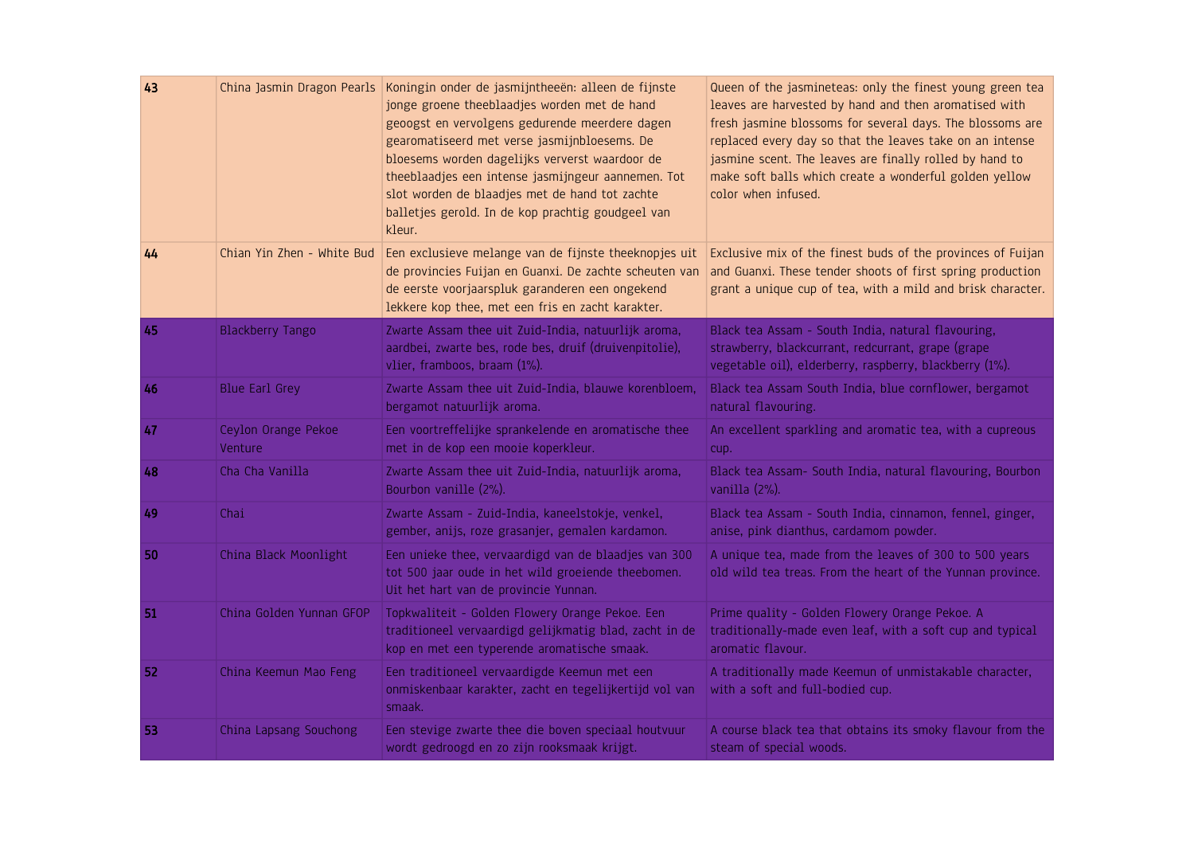| 43 |                                | China Jasmin Dragon Pearls   Koningin onder de jasmijntheeën: alleen de fijnste<br>jonge groene theeblaadjes worden met de hand<br>geoogst en vervolgens gedurende meerdere dagen<br>gearomatiseerd met verse jasmijnbloesems. De<br>bloesems worden dagelijks ververst waardoor de<br>theeblaadjes een intense jasmijngeur aannemen. Tot<br>slot worden de blaadjes met de hand tot zachte<br>balletjes gerold. In de kop prachtig goudgeel van<br>kleur. | Queen of the jasmineteas: only the finest young green tea<br>leaves are harvested by hand and then aromatised with<br>fresh jasmine blossoms for several days. The blossoms are<br>replaced every day so that the leaves take on an intense<br>jasmine scent. The leaves are finally rolled by hand to<br>make soft balls which create a wonderful golden yellow<br>color when infused. |
|----|--------------------------------|------------------------------------------------------------------------------------------------------------------------------------------------------------------------------------------------------------------------------------------------------------------------------------------------------------------------------------------------------------------------------------------------------------------------------------------------------------|-----------------------------------------------------------------------------------------------------------------------------------------------------------------------------------------------------------------------------------------------------------------------------------------------------------------------------------------------------------------------------------------|
| 44 | Chian Yin Zhen - White Bud     | Een exclusieve melange van de fijnste theeknopjes uit<br>de provincies Fuijan en Guanxi. De zachte scheuten van<br>de eerste voorjaarspluk garanderen een ongekend<br>lekkere kop thee, met een fris en zacht karakter.                                                                                                                                                                                                                                    | Exclusive mix of the finest buds of the provinces of Fuijan<br>and Guanxi. These tender shoots of first spring production<br>grant a unique cup of tea, with a mild and brisk character.                                                                                                                                                                                                |
| 45 | <b>Blackberry Tango</b>        | Zwarte Assam thee uit Zuid-India, natuurlijk aroma,<br>aardbei, zwarte bes, rode bes, druif (druivenpitolie),<br>vlier, framboos, braam (1%).                                                                                                                                                                                                                                                                                                              | Black tea Assam - South India, natural flavouring,<br>strawberry, blackcurrant, redcurrant, grape (grape<br>vegetable oil), elderberry, raspberry, blackberry (1%).                                                                                                                                                                                                                     |
| 46 | <b>Blue Earl Grey</b>          | Zwarte Assam thee uit Zuid-India, blauwe korenbloem,<br>bergamot natuurlijk aroma.                                                                                                                                                                                                                                                                                                                                                                         | Black tea Assam South India, blue cornflower, bergamot<br>natural flavouring.                                                                                                                                                                                                                                                                                                           |
| 47 | Ceylon Orange Pekoe<br>Venture | Een voortreffelijke sprankelende en aromatische thee<br>met in de kop een mooie koperkleur.                                                                                                                                                                                                                                                                                                                                                                | An excellent sparkling and aromatic tea, with a cupreous<br>cup.                                                                                                                                                                                                                                                                                                                        |
| 48 | Cha Cha Vanilla                | Zwarte Assam thee uit Zuid-India, natuurlijk aroma,<br>Bourbon vanille (2%).                                                                                                                                                                                                                                                                                                                                                                               | Black tea Assam- South India, natural flavouring, Bourbon<br>vanilla (2%).                                                                                                                                                                                                                                                                                                              |
| 49 | Chai                           | Zwarte Assam - Zuid-India, kaneelstokje, venkel,<br>gember, anijs, roze grasanjer, gemalen kardamon.                                                                                                                                                                                                                                                                                                                                                       | Black tea Assam - South India, cinnamon, fennel, ginger,<br>anise, pink dianthus, cardamom powder.                                                                                                                                                                                                                                                                                      |
| 50 | China Black Moonlight          | Een unieke thee, vervaardigd van de blaadjes van 300<br>tot 500 jaar oude in het wild groeiende theebomen.<br>Uit het hart van de provincie Yunnan.                                                                                                                                                                                                                                                                                                        | A unique tea, made from the leaves of 300 to 500 years<br>old wild tea treas. From the heart of the Yunnan province.                                                                                                                                                                                                                                                                    |
| 51 | China Golden Yunnan GFOP       | Topkwaliteit - Golden Flowery Orange Pekoe. Een<br>traditioneel vervaardigd gelijkmatig blad, zacht in de<br>kop en met een typerende aromatische smaak.                                                                                                                                                                                                                                                                                                   | Prime quality - Golden Flowery Orange Pekoe. A<br>traditionally-made even leaf, with a soft cup and typical<br>aromatic flavour.                                                                                                                                                                                                                                                        |
| 52 | China Keemun Mao Feng          | Een traditioneel vervaardigde Keemun met een<br>onmiskenbaar karakter, zacht en tegelijkertijd vol van<br>smaak.                                                                                                                                                                                                                                                                                                                                           | A traditionally made Keemun of unmistakable character,<br>with a soft and full-bodied cup.                                                                                                                                                                                                                                                                                              |
| 53 | China Lapsang Souchong         | Een stevige zwarte thee die boven speciaal houtvuur<br>wordt gedroogd en zo zijn rooksmaak krijgt.                                                                                                                                                                                                                                                                                                                                                         | A course black tea that obtains its smoky flavour from the<br>steam of special woods.                                                                                                                                                                                                                                                                                                   |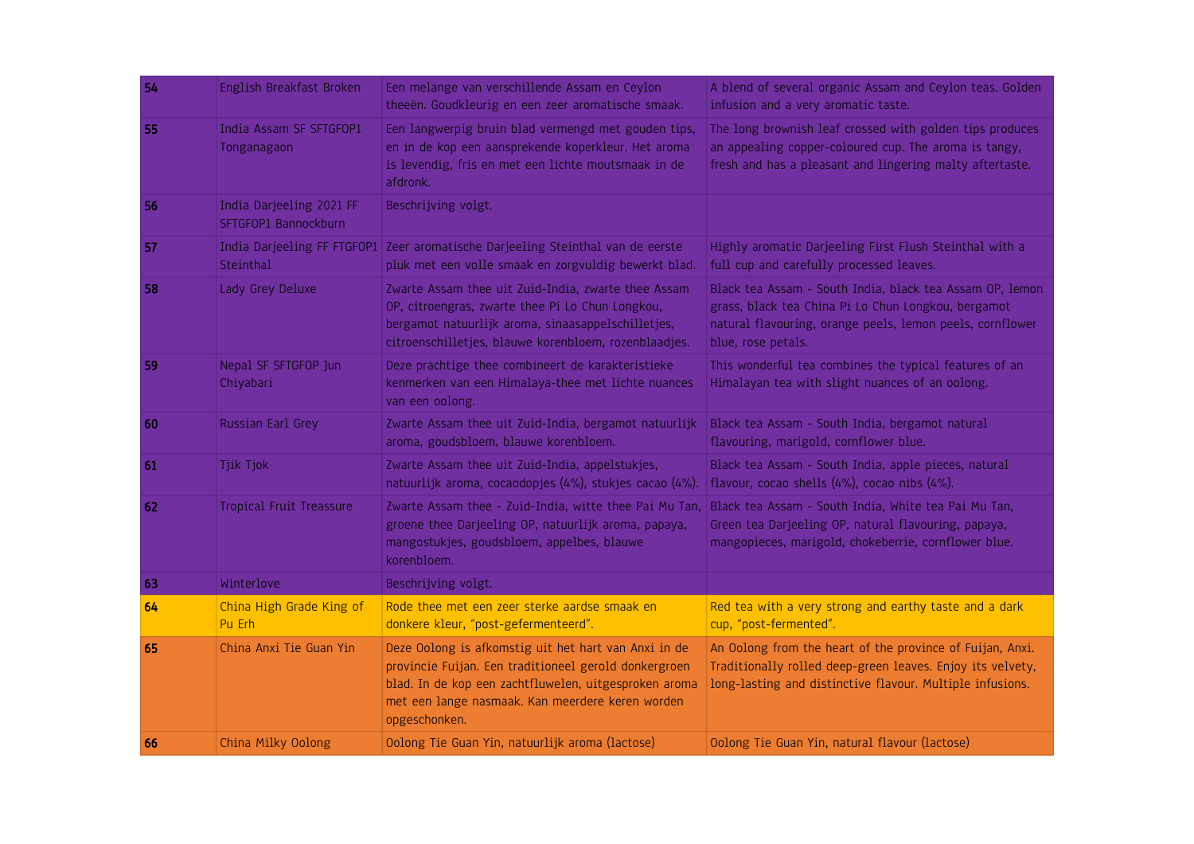| 54 | English Breakfast Broken                         | Een melange van verschillende Assam en Ceylon<br>theeën. Goudkleurig en een zeer aromatische smaak.                                                                                                                                         | A blend of several organic Assam and Ceylon teas. Golden<br>infusion and a very aromatic taste.                                                                                                    |
|----|--------------------------------------------------|---------------------------------------------------------------------------------------------------------------------------------------------------------------------------------------------------------------------------------------------|----------------------------------------------------------------------------------------------------------------------------------------------------------------------------------------------------|
| 55 | India Assam SF SFTGFOP1<br>Tonganagaon           | Een langwerpig bruin blad vermengd met gouden tips,<br>en in de kop een aansprekende koperkleur. Het aroma<br>is levendig, fris en met een lichte moutsmaak in de<br>afdronk.                                                               | The long brownish leaf crossed with golden tips produces<br>an appealing copper-coloured cup. The aroma is tangy,<br>fresh and has a pleasant and lingering malty aftertaste.                      |
| 56 | India Darjeeling 2021 FF<br>SFTGFOP1 Bannockburn | Beschrijving volgt.                                                                                                                                                                                                                         |                                                                                                                                                                                                    |
| 57 | Steinthal                                        | India Darjeeling FF FTGFOP1 Zeer aromatische Darjeeling Steinthal van de eerste<br>pluk met een volle smaak en zorgvuldig bewerkt blad.                                                                                                     | Highly aromatic Darjeeling First Flush Steinthal with a<br>full cup and carefully processed leaves.                                                                                                |
| 58 | Lady Grey Deluxe                                 | Zwarte Assam thee uit Zuid-India, zwarte thee Assam<br>OP, citroengras, zwarte thee Pi Lo Chun Longkou,<br>bergamot natuurlijk aroma, sinaasappelschilletjes,<br>citroenschilletjes, blauwe korenbloem, rozenblaadjes.                      | Black tea Assam - South India, black tea Assam OP, lemon<br>grass, black tea China Pi Lo Chun Longkou, bergamot<br>natural flavouring, orange peels, lemon peels, cornflower<br>blue, rose petals. |
| 59 | Nepal SF SFTGFOP Jun<br>Chiyabari                | Deze prachtige thee combineert de karakteristieke<br>kenmerken van een Himalaya-thee met lichte nuances<br>van een oolong.                                                                                                                  | This wonderful tea combines the typical features of an<br>Himalayan tea with slight nuances of an oolong.                                                                                          |
| 60 | Russian Earl Grey                                | Zwarte Assam thee uit Zuid-India, bergamot natuurlijk<br>aroma, goudsbloem, blauwe korenbloem.                                                                                                                                              | Black tea Assam - South India, bergamot natural<br>flavouring, marigold, cornflower blue.                                                                                                          |
| 61 | Tjik Tjok                                        | Zwarte Assam thee uit Zuid-India, appelstukjes,<br>natuurlijk aroma, cocaodopjes (4%), stukjes cacao (4%).                                                                                                                                  | Black tea Assam - South India, apple pieces, natural<br>flavour, cocao shells (4%), cocao nibs (4%).                                                                                               |
| 62 | Tropical Fruit Treassure                         | Zwarte Assam thee - Zuid-India, witte thee Pai Mu Tan,<br>groene thee Darjeeling OP, natuurlijk aroma, papaya,<br>mangostukjes, goudsbloem, appelbes, blauwe<br>korenbloem.                                                                 | Black tea Assam - South India, White tea Pai Mu Tan,<br>Green tea Darjeeling OP, natural flavouring, papaya,<br>mangopieces, marigold, chokeberrie, cornflower blue.                               |
| 63 | Winterlove                                       | Beschrijving volgt.                                                                                                                                                                                                                         |                                                                                                                                                                                                    |
| 64 | China High Grade King of<br>Pu Erh               | Rode thee met een zeer sterke aardse smaak en<br>donkere kleur, "post-gefermenteerd".                                                                                                                                                       | Red tea with a very strong and earthy taste and a dark<br>cup, "post-fermented".                                                                                                                   |
| 65 | China Anxi Tie Guan Yin                          | Deze Oolong is afkomstig uit het hart van Anxi in de<br>provincie Fuijan. Een traditioneel gerold donkergroen<br>blad. In de kop een zachtfluwelen, uitgesproken aroma<br>met een lange nasmaak. Kan meerdere keren worden<br>opgeschonken. | An Oolong from the heart of the province of Fuijan, Anxi.<br>Traditionally rolled deep-green leaves. Enjoy its velvety,<br>long-lasting and distinctive flavour. Multiple infusions.               |
| 66 | China Milky Oolong                               | Oolong Tie Guan Yin, natuurlijk aroma (lactose)                                                                                                                                                                                             | Oolong Tie Guan Yin, natural flavour (lactose)                                                                                                                                                     |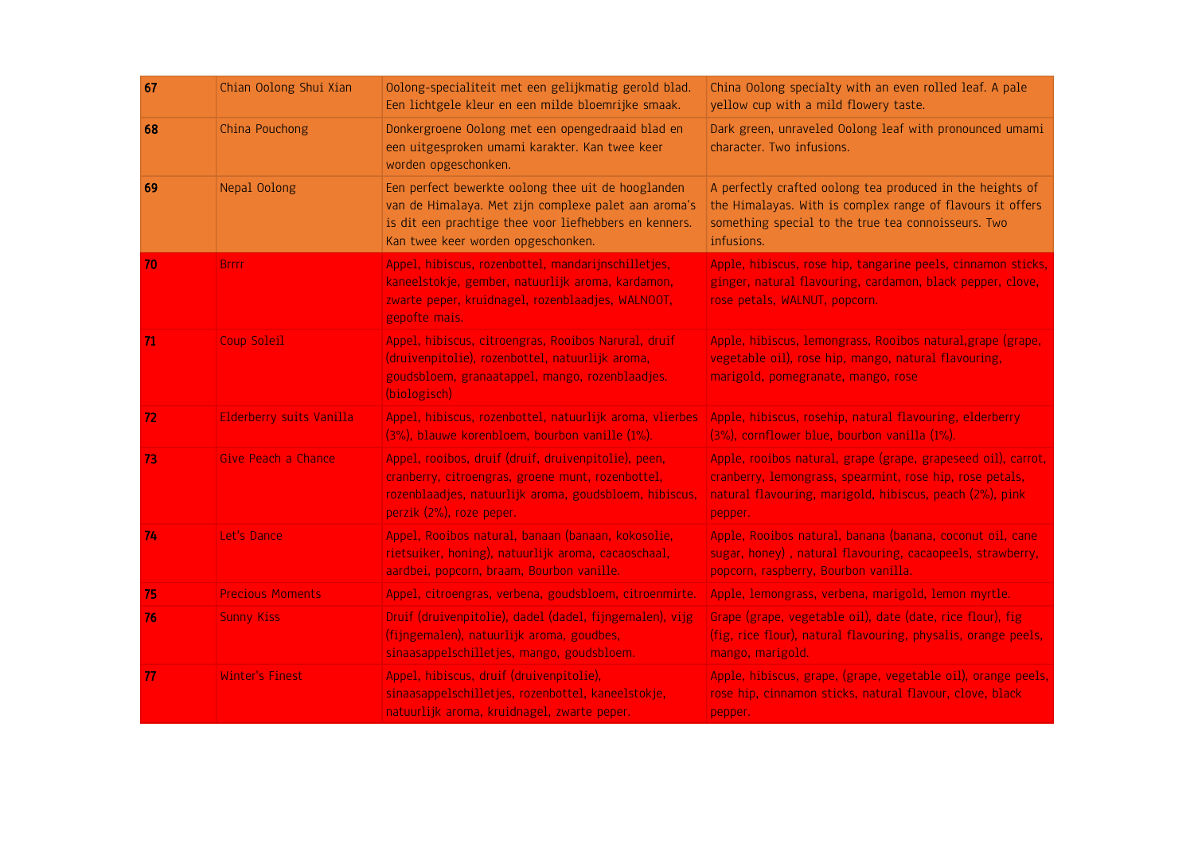| 67 | Chian Oolong Shui Xian   | Oolong-specialiteit met een gelijkmatig gerold blad.<br>Een lichtgele kleur en een milde bloemrijke smaak.                                                                                                 | China Oolong specialty with an even rolled leaf. A pale<br>yellow cup with a mild flowery taste.                                                                                                 |
|----|--------------------------|------------------------------------------------------------------------------------------------------------------------------------------------------------------------------------------------------------|--------------------------------------------------------------------------------------------------------------------------------------------------------------------------------------------------|
| 68 | China Pouchong           | Donkergroene Oolong met een opengedraaid blad en<br>een uitgesproken umami karakter. Kan twee keer<br>worden opgeschonken.                                                                                 | Dark green, unraveled Oolong leaf with pronounced umami<br>character. Two infusions.                                                                                                             |
| 69 | Nepal Oolong             | Een perfect bewerkte oolong thee uit de hooglanden<br>van de Himalaya. Met zijn complexe palet aan aroma's<br>is dit een prachtige thee voor liefhebbers en kenners.<br>Kan twee keer worden opgeschonken. | A perfectly crafted oolong tea produced in the heights of<br>the Himalayas. With is complex range of flavours it offers<br>something special to the true tea connoisseurs. Two<br>infusions.     |
| 70 | <b>Brrrr</b>             | Appel, hibiscus, rozenbottel, mandarijnschilletjes,<br>kaneelstokje, gember, natuurlijk aroma, kardamon,<br>zwarte peper, kruidnagel, rozenblaadjes, WALNOOT,<br>gepofte mais.                             | Apple, hibiscus, rose hip, tangarine peels, cinnamon sticks,<br>ginger, natural flavouring, cardamon, black pepper, clove,<br>rose petals, WALNUT, popcorn.                                      |
| 71 | Coup Soleil              | Appel, hibiscus, citroengras, Rooibos Narural, druif<br>(druivenpitolie), rozenbottel, natuurlijk aroma,<br>goudsbloem, granaatappel, mango, rozenblaadjes.<br>(biologisch)                                | Apple, hibiscus, lemongrass, Rooibos natural, grape (grape,<br>vegetable oil), rose hip, mango, natural flavouring,<br>marigold, pomegranate, mango, rose                                        |
| 72 | Elderberry suits Vanilla | Appel, hibiscus, rozenbottel, natuurlijk aroma, vlierbes<br>(3%), blauwe korenbloem, bourbon vanille (1%).                                                                                                 | Apple, hibiscus, rosehip, natural flavouring, elderberry<br>(3%), cornflower blue, bourbon vanilla (1%).                                                                                         |
| 73 | Give Peach a Chance      | Appel, rooibos, druif (druif, druivenpitolie), peen,<br>cranberry, citroengras, groene munt, rozenbottel,<br>rozenblaadjes, natuurlijk aroma, goudsbloem, hibiscus,<br>perzik (2%), roze peper.            | Apple, rooibos natural, grape (grape, grapeseed oil), carrot,<br>cranberry, lemongrass, spearmint, rose hip, rose petals,<br>natural flavouring, marigold, hibiscus, peach (2%), pink<br>pepper. |
| 74 | Let's Dance              | Appel, Rooibos natural, banaan (banaan, kokosolie,<br>rietsuiker, honing), natuurlijk aroma, cacaoschaal,<br>aardbei, popcorn, braam, Bourbon vanille.                                                     | Apple, Rooibos natural, banana (banana, coconut oil, cane<br>sugar, honey), natural flavouring, cacaopeels, strawberry,<br>popcorn, raspberry, Bourbon vanilla.                                  |
| 75 | <b>Precious Moments</b>  | Appel, citroengras, verbena, goudsbloem, citroenmirte.                                                                                                                                                     | Apple, lemongrass, verbena, marigold, lemon myrtle.                                                                                                                                              |
| 76 | <b>Sunny Kiss</b>        | Druif (druivenpitolie), dadel (dadel, fijngemalen), vijg<br>(fijngemalen), natuurlijk aroma, goudbes,<br>sinaasappelschilletjes, mango, goudsbloem.                                                        | Grape (grape, vegetable oil), date (date, rice flour), fig<br>(fig, rice flour), natural flavouring, physalis, orange peels,<br>mango, marigold.                                                 |
| 77 | <b>Winter's Finest</b>   | Appel, hibiscus, druif (druivenpitolie),<br>sinaasappelschilletjes, rozenbottel, kaneelstokje,<br>natuurlijk aroma, kruidnagel, zwarte peper.                                                              | Apple, hibiscus, grape, (grape, vegetable oil), orange peels,<br>rose hip, cinnamon sticks, natural flavour, clove, black<br>pepper.                                                             |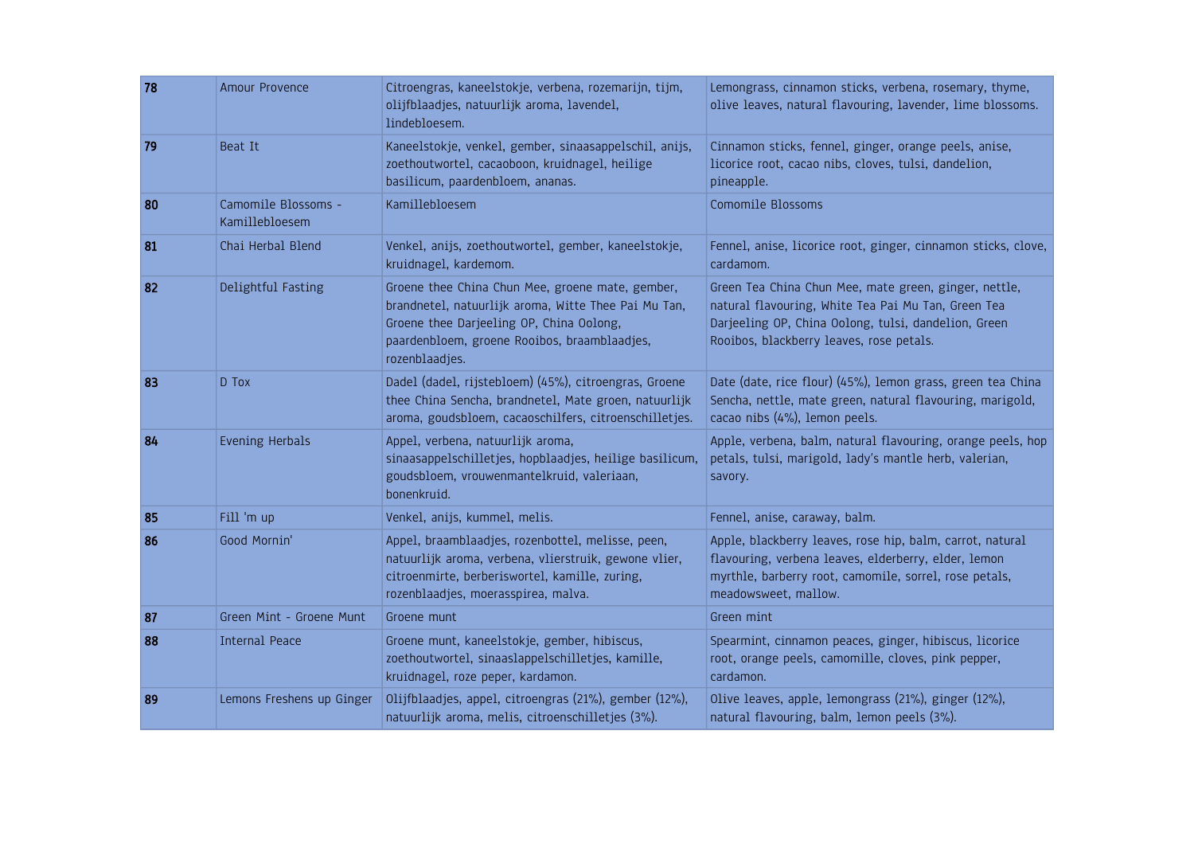| 78 | Amour Provence                        | Citroengras, kaneelstokje, verbena, rozemarijn, tijm,<br>olijfblaadjes, natuurlijk aroma, lavendel,<br>lindebloesem.                                                                                                   | Lemongrass, cinnamon sticks, verbena, rosemary, thyme,<br>olive leaves, natural flavouring, lavender, lime blossoms.                                                                                             |
|----|---------------------------------------|------------------------------------------------------------------------------------------------------------------------------------------------------------------------------------------------------------------------|------------------------------------------------------------------------------------------------------------------------------------------------------------------------------------------------------------------|
| 79 | Beat It                               | Kaneelstokje, venkel, gember, sinaasappelschil, anijs,<br>zoethoutwortel, cacaoboon, kruidnagel, heilige<br>basilicum, paardenbloem, ananas.                                                                           | Cinnamon sticks, fennel, ginger, orange peels, anise,<br>licorice root, cacao nibs, cloves, tulsi, dandelion,<br>pineapple.                                                                                      |
| 80 | Camomile Blossoms -<br>Kamillebloesem | Kamillebloesem                                                                                                                                                                                                         | Comomile Blossoms                                                                                                                                                                                                |
| 81 | Chai Herbal Blend                     | Venkel, anijs, zoethoutwortel, gember, kaneelstokje,<br>kruidnagel, kardemom.                                                                                                                                          | Fennel, anise, licorice root, ginger, cinnamon sticks, clove,<br>cardamom.                                                                                                                                       |
| 82 | Delightful Fasting                    | Groene thee China Chun Mee, groene mate, gember,<br>brandnetel, natuurlijk aroma, Witte Thee Pai Mu Tan,<br>Groene thee Darjeeling OP, China Oolong,<br>paardenbloem, groene Rooibos, braamblaadjes,<br>rozenblaadjes. | Green Tea China Chun Mee, mate green, ginger, nettle,<br>natural flavouring, White Tea Pai Mu Tan, Green Tea<br>Darjeeling OP, China Oolong, tulsi, dandelion, Green<br>Rooibos, blackberry leaves, rose petals. |
| 83 | D Tox                                 | Dadel (dadel, rijstebloem) (45%), citroengras, Groene<br>thee China Sencha, brandnetel, Mate groen, natuurlijk<br>aroma, goudsbloem, cacaoschilfers, citroenschilletjes.                                               | Date (date, rice flour) (45%), lemon grass, green tea China<br>Sencha, nettle, mate green, natural flavouring, marigold,<br>cacao nibs (4%), lemon peels.                                                        |
| 84 | <b>Evening Herbals</b>                | Appel, verbena, natuurlijk aroma,<br>sinaasappelschilletjes, hopblaadjes, heilige basilicum,<br>goudsbloem, vrouwenmantelkruid, valeriaan,<br>bonenkruid.                                                              | Apple, verbena, balm, natural flavouring, orange peels, hop<br>petals, tulsi, marigold, lady's mantle herb, valerian,<br>savory.                                                                                 |
| 85 | Fill 'm up                            | Venkel, anijs, kummel, melis.                                                                                                                                                                                          | Fennel, anise, caraway, balm.                                                                                                                                                                                    |
| 86 | Good Mornin'                          | Appel, braamblaadjes, rozenbottel, melisse, peen,<br>natuurlijk aroma, verbena, vlierstruik, gewone vlier,<br>citroenmirte, berberiswortel, kamille, zuring,<br>rozenblaadjes, moerasspirea, malva.                    | Apple, blackberry leaves, rose hip, balm, carrot, natural<br>flavouring, verbena leaves, elderberry, elder, lemon<br>myrthle, barberry root, camomile, sorrel, rose petals,<br>meadowsweet, mallow.              |
| 87 | Green Mint - Groene Munt              | Groene munt                                                                                                                                                                                                            | Green mint                                                                                                                                                                                                       |
| 88 | <b>Internal Peace</b>                 | Groene munt, kaneelstokje, gember, hibiscus,<br>zoethoutwortel, sinaaslappelschilletjes, kamille,<br>kruidnagel, roze peper, kardamon.                                                                                 | Spearmint, cinnamon peaces, ginger, hibiscus, licorice<br>root, orange peels, camomille, cloves, pink pepper,<br>cardamon.                                                                                       |
| 89 | Lemons Freshens up Ginger             | Olijfblaadjes, appel, citroengras (21%), gember (12%),<br>natuurlijk aroma, melis, citroenschilletjes (3%).                                                                                                            | Olive leaves, apple, lemongrass (21%), ginger (12%),<br>natural flavouring, balm, lemon peels (3%).                                                                                                              |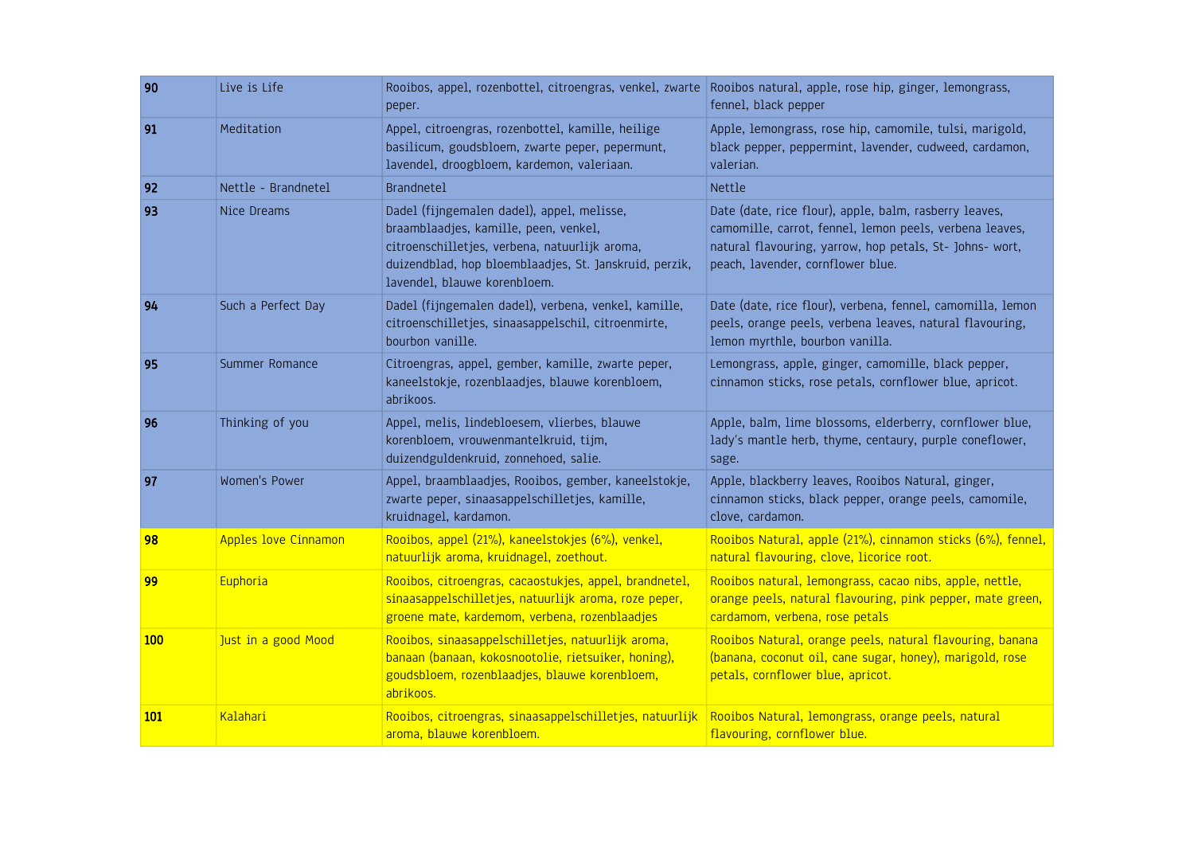| 90  | Live is Life         | Rooibos, appel, rozenbottel, citroengras, venkel, zwarte<br>peper.                                                                                                                                                              | Rooibos natural, apple, rose hip, ginger, lemongrass,<br>fennel, black pepper                                                                                                                                      |
|-----|----------------------|---------------------------------------------------------------------------------------------------------------------------------------------------------------------------------------------------------------------------------|--------------------------------------------------------------------------------------------------------------------------------------------------------------------------------------------------------------------|
| 91  | Meditation           | Appel, citroengras, rozenbottel, kamille, heilige<br>basilicum, goudsbloem, zwarte peper, pepermunt,<br>lavendel, droogbloem, kardemon, valeriaan.                                                                              | Apple, lemongrass, rose hip, camomile, tulsi, marigold,<br>black pepper, peppermint, lavender, cudweed, cardamon,<br>valerian.                                                                                     |
| 92  | Nettle - Brandnetel  | <b>Brandnetel</b>                                                                                                                                                                                                               | Nettle                                                                                                                                                                                                             |
| 93  | Nice Dreams          | Dadel (fijngemalen dadel), appel, melisse,<br>braamblaadjes, kamille, peen, venkel,<br>citroenschilletjes, verbena, natuurlijk aroma,<br>duizendblad, hop bloemblaadjes, St. Janskruid, perzik,<br>lavendel, blauwe korenbloem. | Date (date, rice flour), apple, balm, rasberry leaves,<br>camomille, carrot, fennel, lemon peels, verbena leaves,<br>natural flavouring, yarrow, hop petals, St- Johns- wort,<br>peach, lavender, cornflower blue. |
| 94  | Such a Perfect Day   | Dadel (fijngemalen dadel), verbena, venkel, kamille,<br>citroenschilletjes, sinaasappelschil, citroenmirte,<br>bourbon vanille.                                                                                                 | Date (date, rice flour), verbena, fennel, camomilla, lemon<br>peels, orange peels, verbena leaves, natural flavouring,<br>lemon myrthle, bourbon vanilla.                                                          |
| 95  | Summer Romance       | Citroengras, appel, gember, kamille, zwarte peper,<br>kaneelstokje, rozenblaadjes, blauwe korenbloem,<br>abrikoos.                                                                                                              | Lemongrass, apple, ginger, camomille, black pepper,<br>cinnamon sticks, rose petals, cornflower blue, apricot.                                                                                                     |
| 96  | Thinking of you      | Appel, melis, lindebloesem, vlierbes, blauwe<br>korenbloem, vrouwenmantelkruid, tijm,<br>duizendguldenkruid, zonnehoed, salie.                                                                                                  | Apple, balm, lime blossoms, elderberry, cornflower blue,<br>lady's mantle herb, thyme, centaury, purple coneflower,<br>sage.                                                                                       |
| 97  | Women's Power        | Appel, braamblaadjes, Rooibos, gember, kaneelstokje,<br>zwarte peper, sinaasappelschilletjes, kamille,<br>kruidnagel, kardamon.                                                                                                 | Apple, blackberry leaves, Rooibos Natural, ginger,<br>cinnamon sticks, black pepper, orange peels, camomile,<br>clove, cardamon.                                                                                   |
| 98  | Apples love Cinnamon | Rooibos, appel (21%), kaneelstokjes (6%), venkel,<br>natuurlijk aroma, kruidnagel, zoethout.                                                                                                                                    | Rooibos Natural, apple (21%), cinnamon sticks (6%), fennel,<br>natural flavouring, clove, licorice root.                                                                                                           |
| 99  | Euphoria             | Rooibos, citroengras, cacaostukjes, appel, brandnetel,<br>sinaasappelschilletjes, natuurlijk aroma, roze peper,<br>groene mate, kardemom, verbena, rozenblaadjes                                                                | Rooibos natural, lemongrass, cacao nibs, apple, nettle,<br>orange peels, natural flavouring, pink pepper, mate green,<br>cardamom, verbena, rose petals                                                            |
| 100 | Just in a good Mood  | Rooibos, sinaasappelschilletjes, natuurlijk aroma,<br>banaan (banaan, kokosnootolie, rietsuiker, honing),<br>goudsbloem, rozenblaadjes, blauwe korenbloem,<br>abrikoos.                                                         | Rooibos Natural, orange peels, natural flavouring, banana<br>(banana, coconut oil, cane sugar, honey), marigold, rose<br>petals, cornflower blue, apricot.                                                         |
| 101 | Kalahari             | Rooibos, citroengras, sinaasappelschilletjes, natuurlijk<br>aroma, blauwe korenbloem.                                                                                                                                           | Rooibos Natural, lemongrass, orange peels, natural<br>flavouring, cornflower blue.                                                                                                                                 |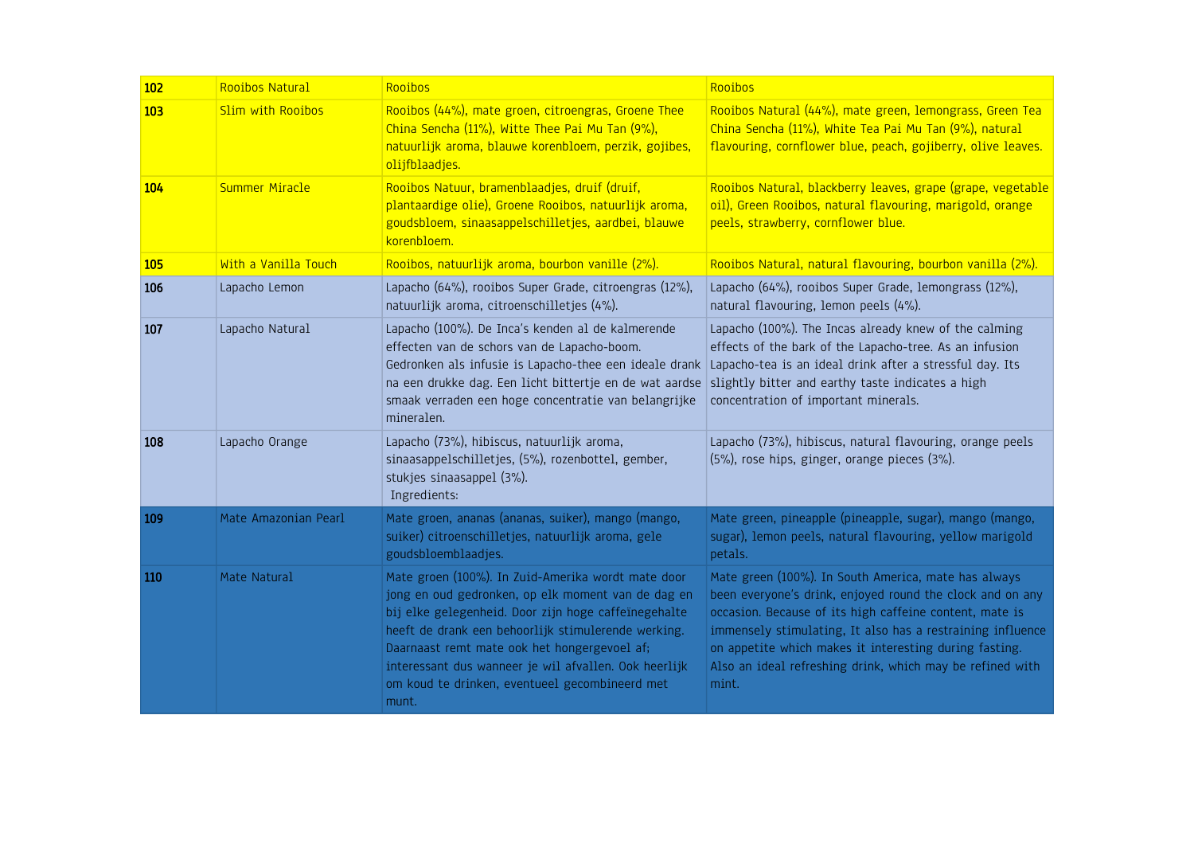| 102        | Rooibos Natural       | Rooibos                                                                                                                                                                                                                                                                                                                                                                                     | Rooibos                                                                                                                                                                                                                                                                                                                                                                    |
|------------|-----------------------|---------------------------------------------------------------------------------------------------------------------------------------------------------------------------------------------------------------------------------------------------------------------------------------------------------------------------------------------------------------------------------------------|----------------------------------------------------------------------------------------------------------------------------------------------------------------------------------------------------------------------------------------------------------------------------------------------------------------------------------------------------------------------------|
| 103        | Slim with Rooibos     | Rooibos (44%), mate groen, citroengras, Groene Thee<br>China Sencha (11%), Witte Thee Pai Mu Tan (9%),<br>natuurlijk aroma, blauwe korenbloem, perzik, gojibes,<br>olijfblaadjes.                                                                                                                                                                                                           | Rooibos Natural (44%), mate green, lemongrass, Green Tea<br>China Sencha (11%), White Tea Pai Mu Tan (9%), natural<br>flavouring, cornflower blue, peach, gojiberry, olive leaves.                                                                                                                                                                                         |
| 104        | <b>Summer Miracle</b> | Rooibos Natuur, bramenblaadjes, druif (druif,<br>plantaardige olie), Groene Rooibos, natuurlijk aroma,<br>goudsbloem, sinaasappelschilletjes, aardbei, blauwe<br>korenbloem.                                                                                                                                                                                                                | Rooibos Natural, blackberry leaves, grape (grape, vegetable<br>oil), Green Rooibos, natural flavouring, marigold, orange<br>peels, strawberry, cornflower blue.                                                                                                                                                                                                            |
| <b>105</b> | With a Vanilla Touch  | Rooibos, natuurlijk aroma, bourbon vanille (2%).                                                                                                                                                                                                                                                                                                                                            | Rooibos Natural, natural flavouring, bourbon vanilla (2%).                                                                                                                                                                                                                                                                                                                 |
| 106        | Lapacho Lemon         | Lapacho (64%), rooibos Super Grade, citroengras (12%),<br>natuurlijk aroma, citroenschilletjes (4%).                                                                                                                                                                                                                                                                                        | Lapacho (64%), rooibos Super Grade, lemongrass (12%),<br>natural flavouring, lemon peels (4%).                                                                                                                                                                                                                                                                             |
| 107        | Lapacho Natural       | Lapacho (100%). De Inca's kenden al de kalmerende<br>effecten van de schors van de Lapacho-boom.<br>Gedronken als infusie is Lapacho-thee een ideale drank<br>na een drukke dag. Een licht bittertje en de wat aardse<br>smaak verraden een hoge concentratie van belangrijke<br>mineralen.                                                                                                 | Lapacho (100%). The Incas already knew of the calming<br>effects of the bark of the Lapacho-tree. As an infusion<br>Lapacho-tea is an ideal drink after a stressful day. Its<br>slightly bitter and earthy taste indicates a high<br>concentration of important minerals.                                                                                                  |
| 108        | Lapacho Orange        | Lapacho (73%), hibiscus, natuurlijk aroma,<br>sinaasappelschilletjes, (5%), rozenbottel, gember,<br>stukjes sinaasappel (3%).<br>Ingredients:                                                                                                                                                                                                                                               | Lapacho (73%), hibiscus, natural flavouring, orange peels<br>(5%), rose hips, ginger, orange pieces (3%).                                                                                                                                                                                                                                                                  |
| 109        | Mate Amazonian Pearl  | Mate groen, ananas (ananas, suiker), mango (mango,<br>suiker) citroenschilletjes, natuurlijk aroma, gele<br>goudsbloemblaadjes.                                                                                                                                                                                                                                                             | Mate green, pineapple (pineapple, sugar), mango (mango,<br>sugar), lemon peels, natural flavouring, yellow marigold<br>petals.                                                                                                                                                                                                                                             |
| 110        | Mate Natural          | Mate groen (100%). In Zuid-Amerika wordt mate door<br>jong en oud gedronken, op elk moment van de dag en<br>bij elke gelegenheid. Door zijn hoge caffeïnegehalte<br>heeft de drank een behoorlijk stimulerende werking.<br>Daarnaast remt mate ook het hongergevoel af;<br>interessant dus wanneer je wil afvallen. Ook heerlijk<br>om koud te drinken, eventueel gecombineerd met<br>munt. | Mate green (100%). In South America, mate has always<br>been everyone's drink, enjoyed round the clock and on any<br>occasion. Because of its high caffeine content, mate is<br>immensely stimulating, It also has a restraining influence<br>on appetite which makes it interesting during fasting.<br>Also an ideal refreshing drink, which may be refined with<br>mint. |